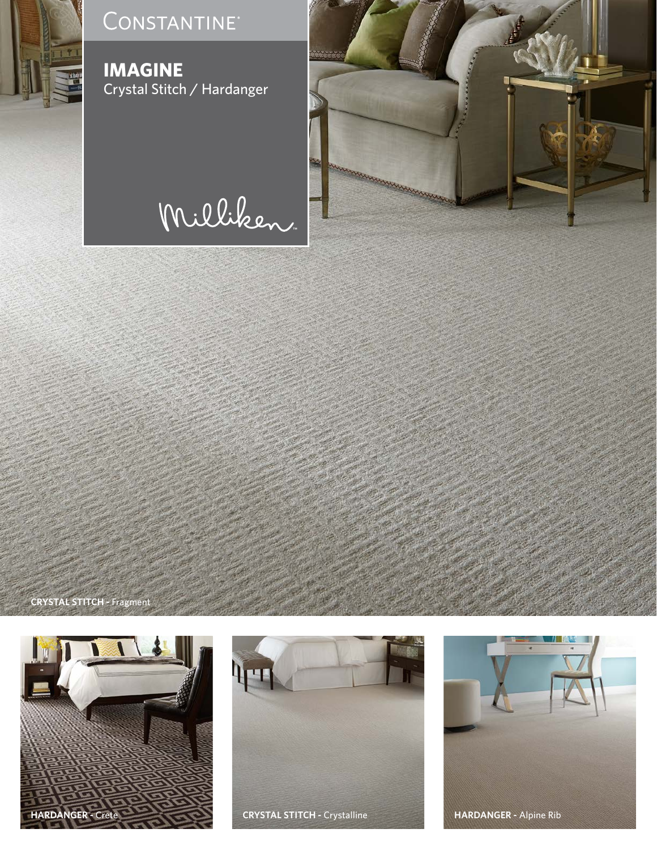

### CONSTANTINE<sup>®</sup>

**IMAGINE** Crystal Stitch / Hardanger

# Milliken



**CRYSTAL STITCH -** Fragment





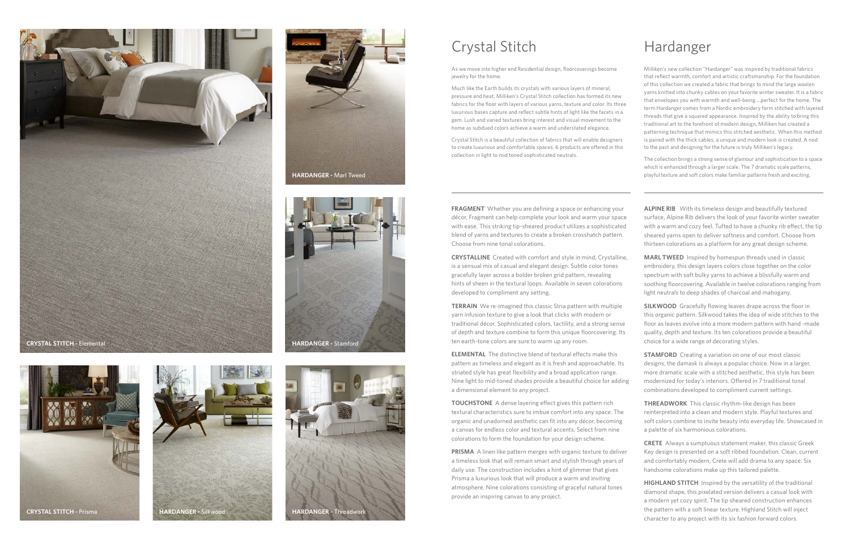**TERRAIN** We re-imagined this classic Stria pattern with multiple yarn infusion texture to give a look that clicks with modern or traditional décor. Sophisticated colors, tactility, and a strong sense of depth and texture combine to form this unique floorcovering. Its ten earth-tone colors are sure to warm up any room.

**PRISMA** A linen like pattern merges with organic texture to deliver a timeless look that will remain smart and stylish through years of daily use. The construction includes a hint of glimmer that gives Prisma a luxurious look that will produce a warm and inviting atmosphere. Nine colorations consisting of graceful natural tones provide an inspiring canvas to any project.

**ELEMENTAL** The distinctive blend of textural effects make this pattern as timeless and elegant as it is fresh and approachable. Its striated style has great flexibility and a broad application range. Nine light to mid-toned shades provide a beautiful choice for adding a dimensional element to any project.

**FRAGMENT** Whether you are defining a space or enhancing your décor, Fragment can help complete your look and warm your space with ease. This striking tip-sheared product utilizes a sophisticated blend of yarns and textures to create a broken crosshatch pattern. Choose from nine tonal colorations. **ALPINE RIB** With its timeless design and beautifully textured surface, Alpine Rib delivers the look of your favorite winter sweater with a warm and cozy feel. Tufted to have a chunky rib effect, the tip sheared yarns open to deliver softness and comfort. Choose from thirteen colorations as a platform for any great design scheme.

**TOUCHSTONE** A dense layering effect gives this pattern rich textural characteristics sure to imbue comfort into any space. The organic and unadorned aesthetic can fit into any décor, becoming a canvas for endless color and textural accents. Select from nine colorations to form the foundation for your design scheme.

**CRYSTALLINE** Created with comfort and style in mind, Crystalline, is a sensual mix of casual and elegant design. Subtle color tones gracefully layer across a bolder broken grid pattern, revealing hints of sheen in the textural loops. Available in seven colorations developed to compliment any setting. **MARL TWEED** Inspired by homespun threads used in classic embroidery, this design layers colors close together on the color spectrum with soft bulky yarns to achieve a blissfully warm and soothing floorcovering. Available in twelve colorations ranging from light neutrals to deep shades of charcoal and mahogany.

> **SILKWOOD** Gracefully flowing leaves drape across the floor in this organic pattern. Silkwood takes the idea of wide stitches to the floor as leaves evolve into a more modern pattern with hand -made quality, depth and texture. Its ten colorations provide a beautiful choice for a wide range of decorating styles.

**STAMFORD** Creating a variation on one of our most classic designs, the damask is always a popular choice. Now in a larger, more dramatic scale with a stitched aesthetic, this style has been modernized for today's interiors. Offered in 7 traditional tonal combinations developed to compliment current settings.

**THREADWORK** This classic rhythm-like design has been reinterpreted into a clean and modern style. Playful textures and soft colors combine to invite beauty into everyday life. Showcased in a palette of six harmonious colorations.

**CRETE** Always a sumptuous statement maker, this classic Greek Key design is presented on a soft ribbed foundation. Clean, current and comfortably modern, Crete will add drama to any space. Six handsome colorations make up this tailored palette.

**HIGHLAND STITCH** Inspired by the versatility of the traditional diamond shape, this pixelated version delivers a casual look with a modern yet cozy spirit. The tip sheared construction enhances the pattern with a soft linear texture. Highland Stitch will inject character to any project with its six fashion forward colors.

As we move into higher end Residential design, floorcoverings become jewelry for the home.

Much like the Earth builds its crystals with various layers of mineral, pressure and heat, Milliken's Crystal Stitch collection has formed its new fabrics for the floor with layers of various yarns, texture and color. Its three luxurious bases capture and reflect subtle hints of light like the facets in a gem. Lush and varied textures bring interest and visual movement to the home as subdued colors achieve a warm and understated elegance.

Crystal Stitch is a beautiful collection of fabrics that will enable designers to create luxurious and comfortable spaces. 6 products are offered in this collection in light to mid toned sophisticated neutrals.

Milliken's new collection "Hardanger" was inspired by traditional fabrics that reflect warmth, comfort and artistic craftsmanship. For the foundation of this collection we created a fabric that brings to mind the large woolen yarns knitted into chunky cables on your favorite winter sweater. It is a fabric that envelopes you with warmth and well-being….perfect for the home. The term Hardanger comes from a Nordic embroidery form stitched with layered threads that give a squared appearance. Inspired by the ability to bring this traditional art to the forefront of modern design, Milliken has created a patterning technique that mimics this stitched aesthetic. When this method is paired with the thick cables, a unique and modern look is created. A nod to the past and designing for the future is truly Milliken's legacy.

The collection brings a strong sense of glamour and sophistication to a space which is enhanced through a larger scale. The 7 dramatic scale patterns, playful texture and soft colors make familiar patterns fresh and exciting.







## Crystal Stitch Hardanger